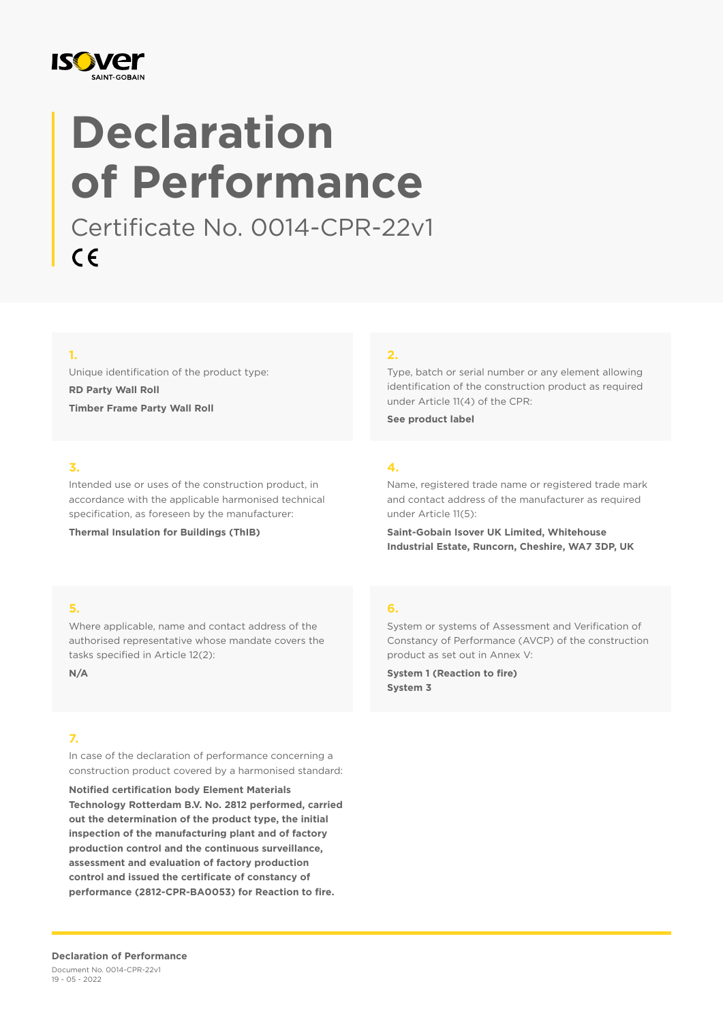

# **Declaration of Performance**

Certificate No. 0014-CPR-22v1  $C \in$ 

## **1.**

Unique identification of the product type: **RD Party Wall Roll Timber Frame Party Wall Roll**

## **3.**

Intended use or uses of the construction product, in accordance with the applicable harmonised technical specification, as foreseen by the manufacturer:

**Thermal Insulation for Buildings (ThIB)**

#### **2.**

Type, batch or serial number or any element allowing identification of the construction product as required under Article 11(4) of the CPR:

**See product label**

#### **4.**

Name, registered trade name or registered trade mark and contact address of the manufacturer as required under Article 11(5):

**Saint-Gobain Isover UK Limited, Whitehouse Industrial Estate, Runcorn, Cheshire, WA7 3DP, UK**

## **5.**

Where applicable, name and contact address of the authorised representative whose mandate covers the tasks specified in Article 12(2):

**N/A**

## **7.**

In case of the declaration of performance concerning a construction product covered by a harmonised standard:

**Notified certification body Element Materials Technology Rotterdam B.V. No. 2812 performed, carried out the determination of the product type, the initial inspection of the manufacturing plant and of factory production control and the continuous surveillance, assessment and evaluation of factory production control and issued the certificate of constancy of performance (2812-CPR-BA0053) for Reaction to fire.**

## **6.**

System or systems of Assessment and Verification of Constancy of Performance (AVCP) of the construction product as set out in Annex V:

**System 1 (Reaction to fire) System 3**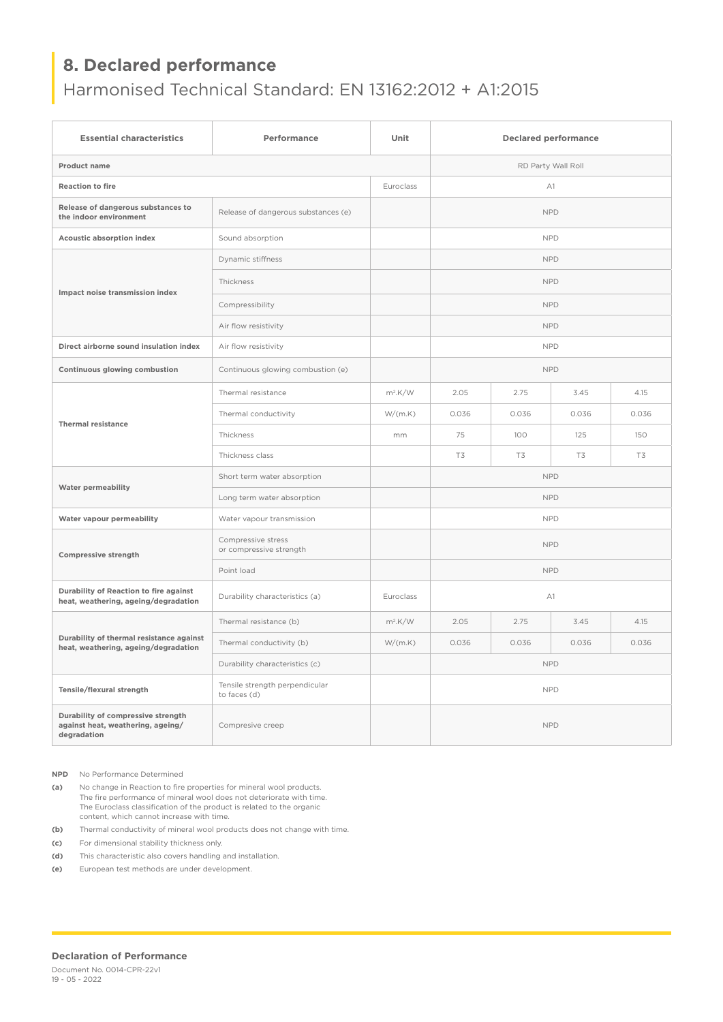# **8. Declared performance**

# Harmonised Technical Standard: EN 13162:2012 + A1:2015

| <b>Essential characteristics</b>                                                       | Performance                                    | Unit       | <b>Declared performance</b> |       |       |       |  |
|----------------------------------------------------------------------------------------|------------------------------------------------|------------|-----------------------------|-------|-------|-------|--|
| <b>Product name</b>                                                                    |                                                |            | RD Party Wall Roll          |       |       |       |  |
| <b>Reaction to fire</b>                                                                |                                                | Euroclass  | A1                          |       |       |       |  |
| Release of dangerous substances to<br>the indoor environment                           | Release of dangerous substances (e)            |            | <b>NPD</b>                  |       |       |       |  |
| Acoustic absorption index                                                              | Sound absorption                               |            | <b>NPD</b>                  |       |       |       |  |
| Impact noise transmission index                                                        | Dynamic stiffness                              |            | <b>NPD</b>                  |       |       |       |  |
|                                                                                        | Thickness                                      |            | <b>NPD</b>                  |       |       |       |  |
|                                                                                        | Compressibility                                |            | <b>NPD</b>                  |       |       |       |  |
|                                                                                        | Air flow resistivity                           |            | <b>NPD</b>                  |       |       |       |  |
| Direct airborne sound insulation index                                                 | Air flow resistivity                           |            | <b>NPD</b>                  |       |       |       |  |
| Continuous glowing combustion                                                          | Continuous glowing combustion (e)              |            | <b>NPD</b>                  |       |       |       |  |
| <b>Thermal resistance</b>                                                              | Thermal resistance                             | $m^2$ .K/W | 2.05                        | 2.75  | 3.45  | 4.15  |  |
|                                                                                        | Thermal conductivity                           | W/(m.K)    | 0.036                       | 0.036 | 0.036 | 0.036 |  |
|                                                                                        | Thickness                                      | mm         | 75                          | 100   | 125   | 150   |  |
|                                                                                        | Thickness class                                |            | T3                          | T3    | T3    | T3    |  |
| <b>Water permeability</b>                                                              | Short term water absorption                    |            | <b>NPD</b>                  |       |       |       |  |
|                                                                                        | Long term water absorption                     |            | <b>NPD</b>                  |       |       |       |  |
| Water vapour permeability                                                              | Water vapour transmission                      |            | <b>NPD</b>                  |       |       |       |  |
| Compressive strength                                                                   | Compressive stress<br>or compressive strength  |            | <b>NPD</b>                  |       |       |       |  |
|                                                                                        | Point load                                     |            | <b>NPD</b>                  |       |       |       |  |
| Durability of Reaction to fire against<br>heat, weathering, ageing/degradation         | Durability characteristics (a)                 | Euroclass  | A1                          |       |       |       |  |
| Durability of thermal resistance against<br>heat, weathering, ageing/degradation       | Thermal resistance (b)                         | $m^2$ .K/W | 2.05                        | 2.75  | 3.45  | 4.15  |  |
|                                                                                        | Thermal conductivity (b)                       | W/(m.K)    | 0.036                       | 0.036 | 0.036 | 0.036 |  |
|                                                                                        | Durability characteristics (c)                 |            | <b>NPD</b>                  |       |       |       |  |
| Tensile/flexural strength                                                              | Tensile strength perpendicular<br>to faces (d) |            | <b>NPD</b>                  |       |       |       |  |
| Durability of compressive strength<br>against heat, weathering, ageing/<br>degradation | Compresive creep                               |            | <b>NPD</b>                  |       |       |       |  |

**NPD** No Performance Determined

**(a)** No change in Reaction to fire properties for mineral wool products. The fire performance of mineral wool does not deteriorate with time. The Euroclass classification of the product is related to the organic content, which cannot increase with time.

**(b)** Thermal conductivity of mineral wool products does not change with time.

**(c)** For dimensional stability thickness only.

**(d)** This characteristic also covers handling and installation.

**(e)** European test methods are under development.

#### **Declaration of Performance**

Document No. 0014-CPR-22v1 19 - 05 - 2022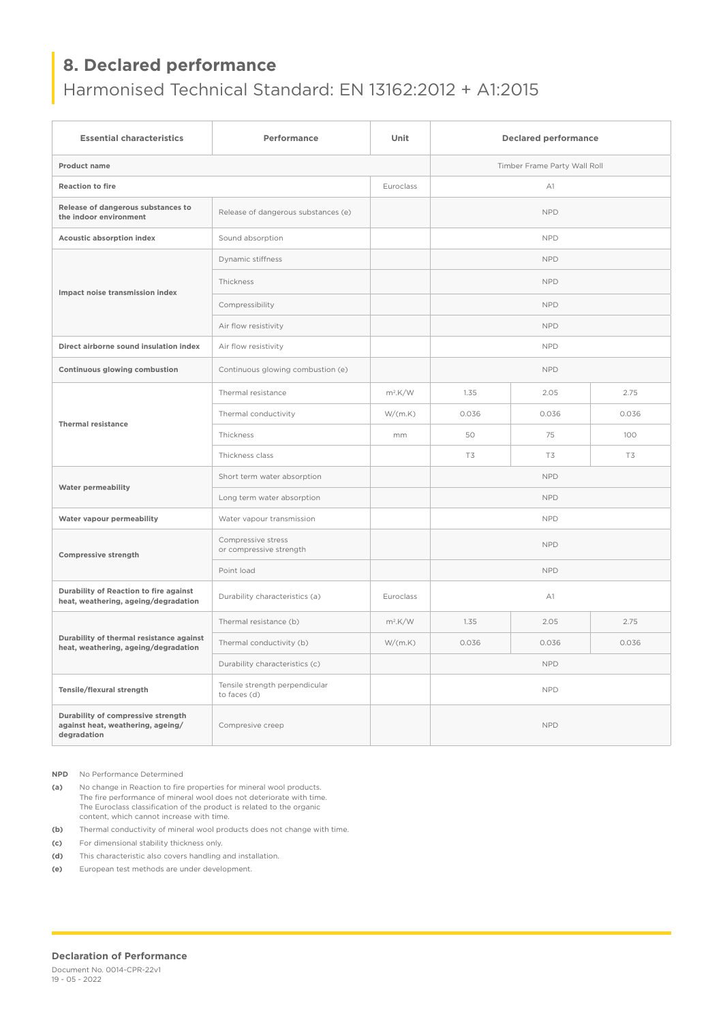# **8. Declared performance**

# Harmonised Technical Standard: EN 13162:2012 + A1:2015

| <b>Essential characteristics</b>                                                       | Performance                                    | Unit                         | <b>Declared performance</b> |       |       |  |  |  |
|----------------------------------------------------------------------------------------|------------------------------------------------|------------------------------|-----------------------------|-------|-------|--|--|--|
| <b>Product name</b>                                                                    |                                                | Timber Frame Party Wall Roll |                             |       |       |  |  |  |
| <b>Reaction to fire</b>                                                                |                                                | Euroclass                    | A1                          |       |       |  |  |  |
| Release of dangerous substances to<br>the indoor environment                           | Release of dangerous substances (e)            |                              | <b>NPD</b>                  |       |       |  |  |  |
| <b>Acoustic absorption index</b>                                                       | Sound absorption                               |                              | <b>NPD</b>                  |       |       |  |  |  |
| Impact noise transmission index                                                        | Dynamic stiffness                              |                              | <b>NPD</b>                  |       |       |  |  |  |
|                                                                                        | Thickness                                      |                              | <b>NPD</b>                  |       |       |  |  |  |
|                                                                                        | Compressibility                                |                              | <b>NPD</b>                  |       |       |  |  |  |
|                                                                                        | Air flow resistivity                           |                              | <b>NPD</b>                  |       |       |  |  |  |
| Direct airborne sound insulation index                                                 | Air flow resistivity                           |                              | <b>NPD</b>                  |       |       |  |  |  |
| Continuous glowing combustion                                                          | Continuous glowing combustion (e)              |                              | <b>NPD</b>                  |       |       |  |  |  |
| <b>Thermal resistance</b>                                                              | Thermal resistance                             | $m^2$ .K/W                   | 1.35                        | 2.05  | 2.75  |  |  |  |
|                                                                                        | Thermal conductivity                           | W/(m.K)                      | 0.036                       | 0.036 | 0.036 |  |  |  |
|                                                                                        | Thickness                                      | mm                           | 50                          | 75    | 100   |  |  |  |
|                                                                                        | Thickness class                                |                              | T3                          | T3    | T3    |  |  |  |
| <b>Water permeability</b>                                                              | Short term water absorption                    |                              | <b>NPD</b>                  |       |       |  |  |  |
|                                                                                        | Long term water absorption                     |                              | <b>NPD</b>                  |       |       |  |  |  |
| Water vapour permeability                                                              | Water vapour transmission                      |                              | <b>NPD</b>                  |       |       |  |  |  |
| <b>Compressive strength</b>                                                            | Compressive stress<br>or compressive strength  |                              | <b>NPD</b>                  |       |       |  |  |  |
|                                                                                        | Point load                                     |                              | <b>NPD</b>                  |       |       |  |  |  |
| Durability of Reaction to fire against<br>heat, weathering, ageing/degradation         | Durability characteristics (a)                 | Euroclass                    | A1                          |       |       |  |  |  |
| Durability of thermal resistance against<br>heat, weathering, ageing/degradation       | Thermal resistance (b)                         | $m^2$ .K/W                   | 1.35                        | 2.05  | 2.75  |  |  |  |
|                                                                                        | Thermal conductivity (b)                       | W/(m.K)                      | 0.036                       | 0.036 | 0.036 |  |  |  |
|                                                                                        | Durability characteristics (c)                 |                              | <b>NPD</b>                  |       |       |  |  |  |
| Tensile/flexural strength                                                              | Tensile strength perpendicular<br>to faces (d) |                              | <b>NPD</b>                  |       |       |  |  |  |
| Durability of compressive strength<br>against heat, weathering, ageing/<br>degradation | Compresive creep                               |                              | <b>NPD</b>                  |       |       |  |  |  |

**NPD** No Performance Determined

**(a)** No change in Reaction to fire properties for mineral wool products. The fire performance of mineral wool does not deteriorate with time. The Euroclass classification of the product is related to the organic content, which cannot increase with time.

**(b)** Thermal conductivity of mineral wool products does not change with time.

**(c)** For dimensional stability thickness only.

**(d)** This characteristic also covers handling and installation.

**(e)** European test methods are under development.

#### **Declaration of Performance**

Document No. 0014-CPR-22v1 19 - 05 - 2022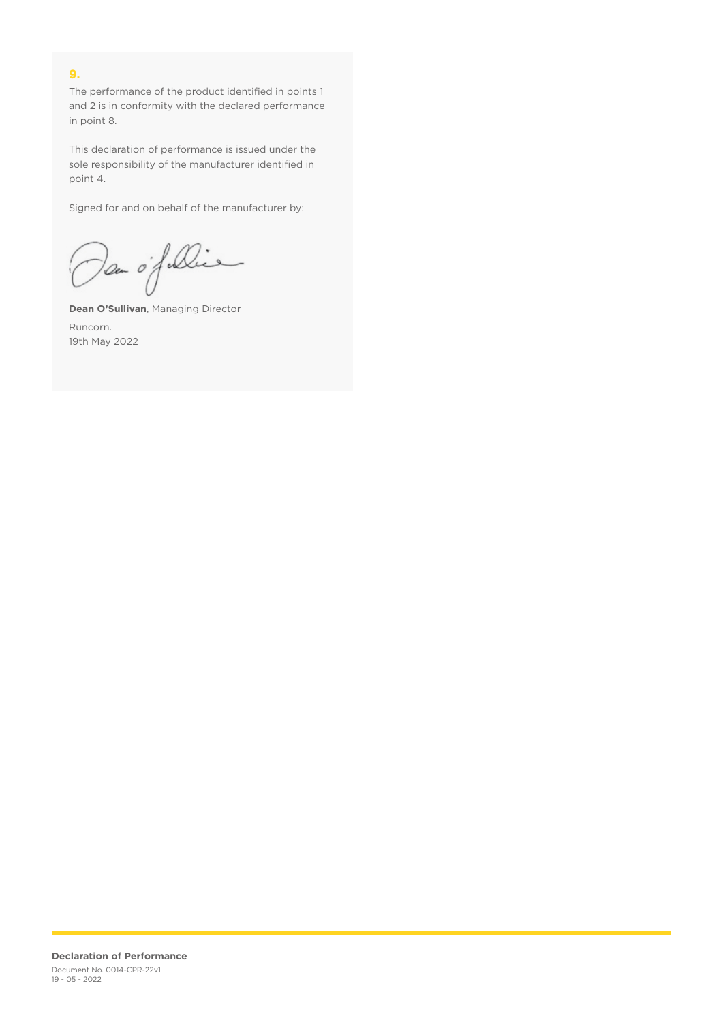## **9.**

The performance of the product identified in points 1 and 2 is in conformity with the declared performance in point 8.

This declaration of performance is issued under the sole responsibility of the manufacturer identified in point 4.

Signed for and on behalf of the manufacturer by:

Dan of Die

**Dean O'Sullivan**, Managing Director Runcorn. 19th May 2022